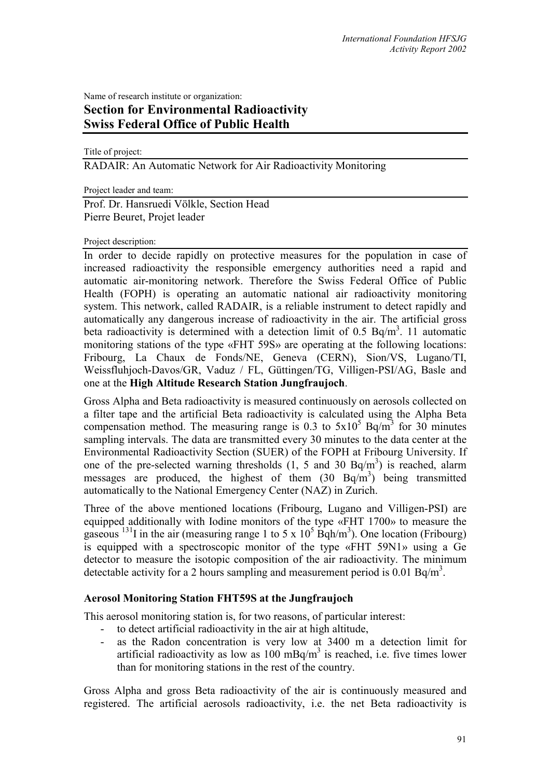Name of research institute or organization:

# **Section for Environmental Radioactivity Swiss Federal Office of Public Health**

Title of project:

RADAIR: An Automatic Network for Air Radioactivity Monitoring

Project leader and team:

Prof. Dr. Hansruedi Völkle, Section Head Pierre Beuret, Projet leader

## Project description:

In order to decide rapidly on protective measures for the population in case of increased radioactivity the responsible emergency authorities need a rapid and automatic air-monitoring network. Therefore the Swiss Federal Office of Public Health (FOPH) is operating an automatic national air radioactivity monitoring system. This network, called RADAIR, is a reliable instrument to detect rapidly and automatically any dangerous increase of radioactivity in the air. The artificial gross beta radioactivity is determined with a detection limit of 0.5 Bq/m<sup>3</sup>. 11 automatic monitoring stations of the type «FHT 59S» are operating at the following locations: Fribourg, La Chaux de Fonds/NE, Geneva (CERN), Sion/VS, Lugano/TI, Weissfluhjoch-Davos/GR, Vaduz / FL, Güttingen/TG, Villigen-PSI/AG, Basle and one at the **High Altitude Research Station Jungfraujoch**.

Gross Alpha and Beta radioactivity is measured continuously on aerosols collected on a filter tape and the artificial Beta radioactivity is calculated using the Alpha Beta compensation method. The measuring range is 0.3 to  $5x10^5$  Bq/m<sup>3</sup> for 30 minutes sampling intervals. The data are transmitted every 30 minutes to the data center at the Environmental Radioactivity Section (SUER) of the FOPH at Fribourg University. If one of the pre-selected warning thresholds  $(1, 5 \text{ and } 30 \text{ Bq/m}^3)$  is reached, alarm messages are produced, the highest of them  $(30 \text{ Bq/m}^3)$  being transmitted automatically to the National Emergency Center (NAZ) in Zurich.

Three of the above mentioned locations (Fribourg, Lugano and Villigen-PSI) are equipped additionally with Iodine monitors of the type «FHT 1700» to measure the gaseous <sup>131</sup>I in the air (measuring range 1 to 5 x  $10^5$  Bqh/m<sup>3</sup>). One location (Fribourg) is equipped with a spectroscopic monitor of the type «FHT 59N1» using a Ge detector to measure the isotopic composition of the air radioactivity. The minimum detectable activity for a 2 hours sampling and measurement period is  $0.01$  Bq/m<sup>3</sup>.

# **Aerosol Monitoring Station FHT59S at the Jungfraujoch**

This aerosol monitoring station is, for two reasons, of particular interest:

- to detect artificial radioactivity in the air at high altitude,
- as the Radon concentration is very low at 3400 m a detection limit for artificial radioactivity as low as  $100 \text{ mBq/m}^3$  is reached, i.e. five times lower than for monitoring stations in the rest of the country.

Gross Alpha and gross Beta radioactivity of the air is continuously measured and registered. The artificial aerosols radioactivity, i.e. the net Beta radioactivity is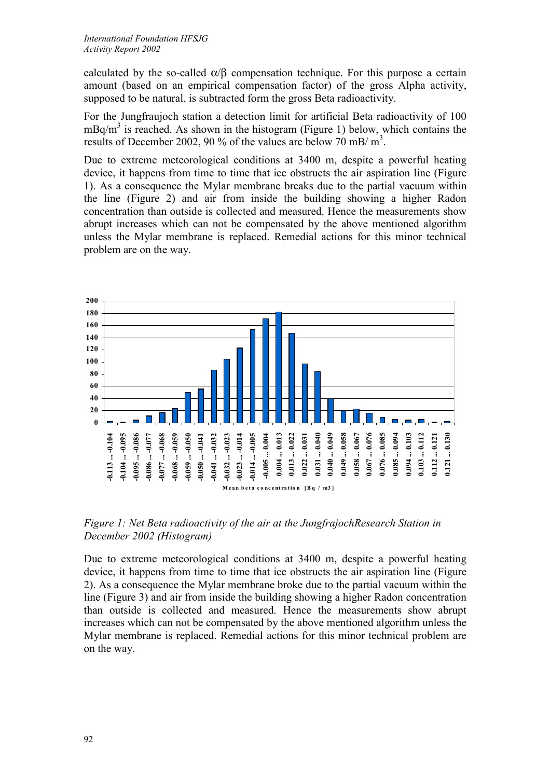calculated by the so-called  $\alpha/\beta$  compensation technique. For this purpose a certain amount (based on an empirical compensation factor) of the gross Alpha activity, supposed to be natural, is subtracted form the gross Beta radioactivity.

For the Jungfraujoch station a detection limit for artificial Beta radioactivity of 100  $mBq/m<sup>3</sup>$  is reached. As shown in the histogram (Figure 1) below, which contains the results of December 2002, 90 % of the values are below 70 mB/ m<sup>3</sup>.

Due to extreme meteorological conditions at 3400 m, despite a powerful heating device, it happens from time to time that ice obstructs the air aspiration line (Figure 1). As a consequence the Mylar membrane breaks due to the partial vacuum within the line (Figure 2) and air from inside the building showing a higher Radon concentration than outside is collected and measured. Hence the measurements show abrupt increases which can not be compensated by the above mentioned algorithm unless the Mylar membrane is replaced. Remedial actions for this minor technical problem are on the way.



*Figure 1: Net Beta radioactivity of the air at the JungfrajochResearch Station in December 2002 (Histogram)*

Due to extreme meteorological conditions at 3400 m, despite a powerful heating device, it happens from time to time that ice obstructs the air aspiration line (Figure 2). As a consequence the Mylar membrane broke due to the partial vacuum within the line (Figure 3) and air from inside the building showing a higher Radon concentration than outside is collected and measured. Hence the measurements show abrupt increases which can not be compensated by the above mentioned algorithm unless the Mylar membrane is replaced. Remedial actions for this minor technical problem are on the way.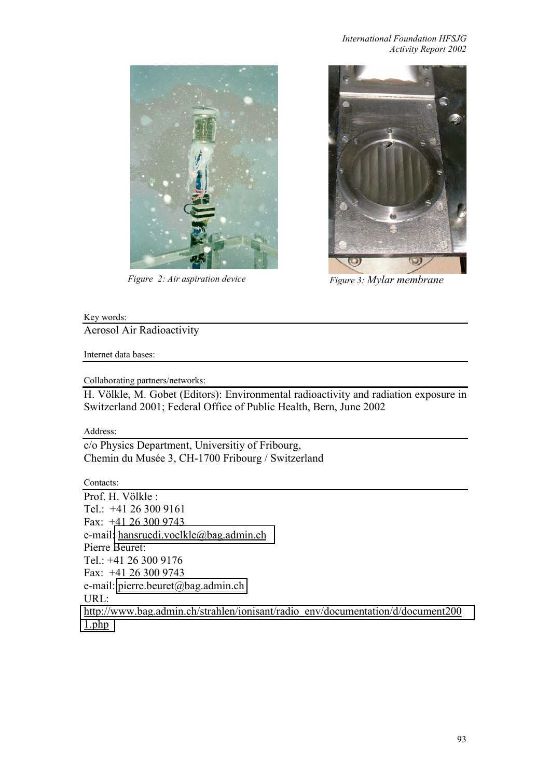#### *International Foundation HFSJG Activity Report 2002*



*Figure 2: Air aspiration device* Figure 3: Mylar membrane



## Key words:

Aerosol Air Radioactivity

Internet data bases:

Collaborating partners/networks:

H. Völkle, M. Gobet (Editors): Environmental radioactivity and radiation exposure in Switzerland 2001; Federal Office of Public Health, Bern, June 2002

Address:

c/o Physics Department, Universitiy of Fribourg, Chemin du Musée 3, CH-1700 Fribourg / Switzerland

Contacts:

Prof. H. Völkle : Tel.: +41 26 300 9161 Fax: +41 26 300 9743 e-mail[: hansruedi.voelkle@bag.admin.ch](mailto:hansruedi.voelkle@bag.admin.ch) Pierre Beuret: Tel.: +41 26 300 9176 Fax: +41 26 300 9743 e-mail: pierre.beuret@bag.admin.ch URL: [http://www.bag.admin.ch/strahlen/ionisant/radio\\_env/documentation/d/document200](http://www.bag.admin.ch/strahlen/ionisant/radio_env/documentation/d/document2001.php) [1.php](http://www.bag.admin.ch/strahlen/ionisant/radio_env/documentation/d/document2001.php)